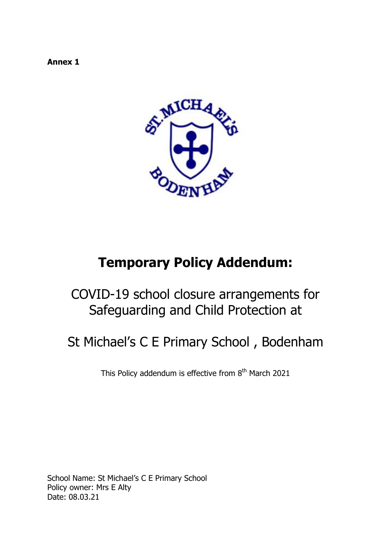**Annex 1**



# **Temporary Policy Addendum:**

# COVID-19 school closure arrangements for Safeguarding and Child Protection at

# St Michael's C E Primary School , Bodenham

This Policy addendum is effective from 8<sup>th</sup> March 2021

School Name: St Michael's C E Primary School Policy owner: Mrs E Alty Date: 08.03.21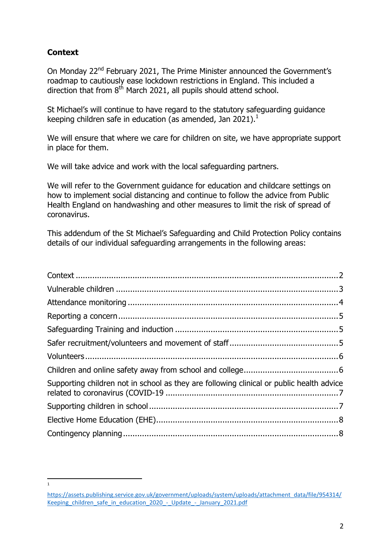# <span id="page-1-0"></span>**Context**

 $\frac{1}{1}$ 

On Monday 22<sup>nd</sup> February 2021, The Prime Minister announced the Government's roadmap to cautiously ease lockdown restrictions in England. This included a direction that from  $8^{th}$  March 2021, all pupils should attend school.

St Michael's will continue to have regard to the statutory safeguarding guidance keeping children safe in education (as amended, Jan 2021).<sup>1</sup>

We will ensure that where we care for children on site, we have appropriate support in place for them.

We will take advice and work with the local safeguarding partners.

We will refer to the Government guidance for education and childcare settings on how to implement social distancing and continue to follow the advice from Public Health England on handwashing and other measures to limit the risk of spread of coronavirus.

This addendum of the St Michael's Safeguarding and Child Protection Policy contains details of our individual safeguarding arrangements in the following areas:

| Supporting children not in school as they are following clinical or public health advice |  |
|------------------------------------------------------------------------------------------|--|
|                                                                                          |  |
|                                                                                          |  |
|                                                                                          |  |

[https://assets.publishing.service.gov.uk/government/uploads/system/uploads/attachment\\_data/file/954314/](https://assets.publishing.service.gov.uk/government/uploads/system/uploads/attachment_data/file/954314/Keeping_children_safe_in_education_2020_-_Update_-_January_2021.pdf) Keeping children safe in education 2020 - Update - January 2021.pdf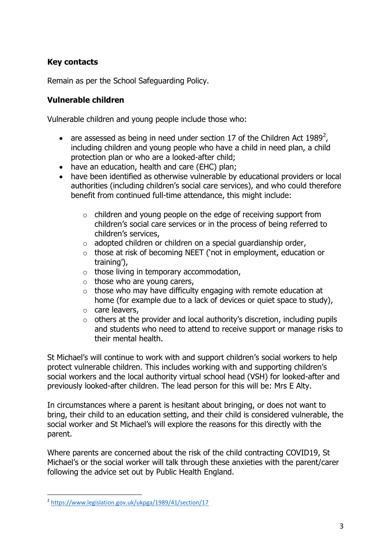# **Key contacts**

Remain as per the School Safeguarding Policy.

#### <span id="page-2-0"></span>**Vulnerable children**

Vulnerable children and young people include those who:

- are assessed as being in need under section 17 of the Children Act 1989<sup>2</sup>, including children and young people who have a child in need plan, a child protection plan or who are a looked-after child;
- have an education, health and care (EHC) plan;
- have been identified as otherwise vulnerable by educational providers or local authorities (including children's social care services), and who could therefore benefit from continued full-time attendance, this might include:
	- o children and young people on the edge of receiving support from children's social care services or in the process of being referred to children's services,
	- $\circ$  adopted children or children on a special guardianship order,
	- o those at risk of becoming NEET ('not in employment, education or training'),
	- $\circ$  those living in temporary accommodation,
	- $\circ$  those who are young carers,
	- $\circ$  those who may have difficulty engaging with remote education at home (for example due to a lack of devices or quiet space to study),
	- o care leavers,
	- $\circ$  others at the provider and local authority's discretion, including pupils and students who need to attend to receive support or manage risks to their mental health.

St Michael's will continue to work with and support children's social workers to help protect vulnerable children. This includes working with and supporting children's social workers and the local authority virtual school head (VSH) for looked-after and previously looked-after children. The lead person for this will be: Mrs E Alty.

In circumstances where a parent is hesitant about bringing, or does not want to bring, their child to an education setting, and their child is considered vulnerable, the social worker and St Michael's will explore the reasons for this directly with the parent.

Where parents are concerned about the risk of the child contracting COVID19, St Michael's or the social worker will talk through these anxieties with the parent/carer following the advice set out by Public Health England.

<sup>&</sup>lt;sup>2</sup><https://www.legislation.gov.uk/ukpga/1989/41/section/17>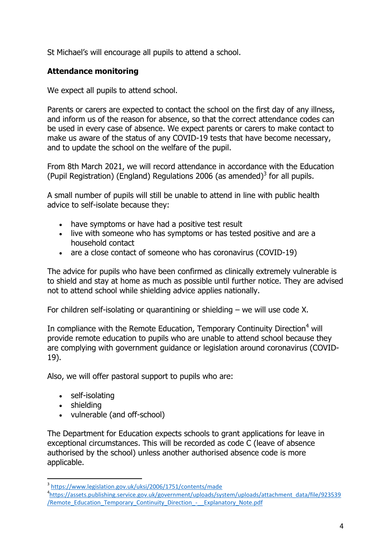St Michael's will encourage all pupils to attend a school.

# <span id="page-3-0"></span>**Attendance monitoring**

We expect all pupils to attend school.

Parents or carers are expected to contact the school on the first day of any illness, and inform us of the reason for absence, so that the correct attendance codes can be used in every case of absence. We expect parents or carers to make contact to make us aware of the status of any COVID-19 tests that have become necessary, and to update the school on the welfare of the pupil.

From 8th March 2021, we will record attendance in accordance with the Education (Pupil Registration) (England) Regulations 2006 (as amended) $^3$  for all pupils.

A small number of pupils will still be unable to attend in line with public health advice to self-isolate because they:

- have symptoms or have had a positive test result
- live with someone who has symptoms or has tested positive and are a household contact
- are a close contact of someone who has coronavirus (COVID-19)

The advice for pupils who have been confirmed as clinically extremely vulnerable is to shield and stay at home as much as possible until further notice. They are advised not to attend school while shielding advice applies nationally.

For children self-isolating or quarantining or shielding – we will use code X.

In compliance with the Remote Education, Temporary Continuity Direction<sup>4</sup> will provide remote education to pupils who are unable to attend school because they are complying with government guidance or legislation around coronavirus (COVID-19).

Also, we will offer pastoral support to pupils who are:

- self-isolating
- shielding

 $\overline{a}$ 

vulnerable (and off-school)

The Department for Education expects schools to grant applications for leave in exceptional circumstances. This will be recorded as code C (leave of absence authorised by the school) unless another authorised absence code is more applicable.

<sup>&</sup>lt;sup>3</sup> <https://www.legislation.gov.uk/uksi/2006/1751/contents/made>

<sup>4</sup> [https://assets.publishing.service.gov.uk/government/uploads/system/uploads/attachment\\_data/file/923539](https://assets.publishing.service.gov.uk/government/uploads/system/uploads/attachment_data/file/923539/Remote_Education_Temporary_Continuity_Direction_-__Explanatory_Note.pdf) /Remote Education Temporary Continuity Direction - Explanatory Note.pdf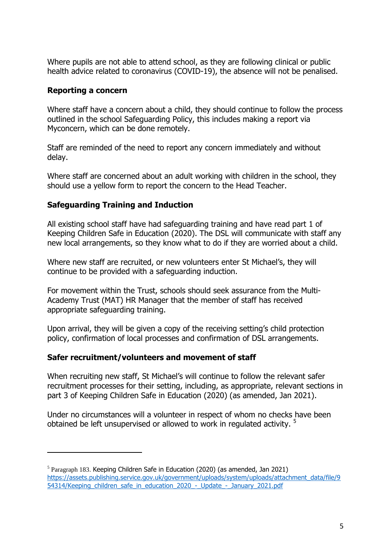Where pupils are not able to attend school, as they are following clinical or public health advice related to coronavirus (COVID-19), the absence will not be penalised.

#### <span id="page-4-0"></span>**Reporting a concern**

 $\overline{a}$ 

Where staff have a concern about a child, they should continue to follow the process outlined in the school Safeguarding Policy, this includes making a report via Myconcern, which can be done remotely.

Staff are reminded of the need to report any concern immediately and without delay.

Where staff are concerned about an adult working with children in the school, they should use a yellow form to report the concern to the Head Teacher.

#### <span id="page-4-1"></span>**Safeguarding Training and Induction**

All existing school staff have had safeguarding training and have read part 1 of Keeping Children Safe in Education (2020). The DSL will communicate with staff any new local arrangements, so they know what to do if they are worried about a child.

Where new staff are recruited, or new volunteers enter St Michael's, they will continue to be provided with a safeguarding induction.

For movement within the Trust, schools should seek assurance from the Multi-Academy Trust (MAT) HR Manager that the member of staff has received appropriate safeguarding training.

Upon arrival, they will be given a copy of the receiving setting's child protection policy, confirmation of local processes and confirmation of DSL arrangements.

#### <span id="page-4-2"></span>**Safer recruitment/volunteers and movement of staff**

When recruiting new staff, St Michael's will continue to follow the relevant safer recruitment processes for their setting, including, as appropriate, relevant sections in part 3 of Keeping Children Safe in Education (2020) (as amended, Jan 2021).

Under no circumstances will a volunteer in respect of whom no checks have been obtained be left unsupervised or allowed to work in regulated activity.<sup>5</sup>

 $<sup>5</sup>$  Paragraph 183. Keeping Children Safe in Education (2020) (as amended, Jan 2021)</sup> [https://assets.publishing.service.gov.uk/government/uploads/system/uploads/attachment\\_data/file/9](https://assets.publishing.service.gov.uk/government/uploads/system/uploads/attachment_data/file/954314/Keeping_children_safe_in_education_2020_-_Update_-_January_2021.pdf) [54314/Keeping\\_children\\_safe\\_in\\_education\\_2020\\_-\\_Update\\_-\\_January\\_2021.pdf](https://assets.publishing.service.gov.uk/government/uploads/system/uploads/attachment_data/file/954314/Keeping_children_safe_in_education_2020_-_Update_-_January_2021.pdf)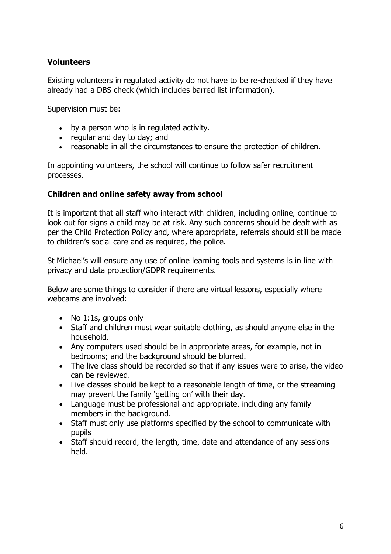# <span id="page-5-0"></span>**Volunteers**

Existing volunteers in regulated activity do not have to be re-checked if they have already had a DBS check (which includes barred list information).

Supervision must be:

- by a person who is in regulated activity.
- regular and day to day; and
- reasonable in all the circumstances to ensure the protection of children.

In appointing volunteers, the school will continue to follow safer recruitment processes.

# <span id="page-5-1"></span>**Children and online safety away from school**

It is important that all staff who interact with children, including online, continue to look out for signs a child may be at risk. Any such concerns should be dealt with as per the Child Protection Policy and, where appropriate, referrals should still be made to children's social care and as required, the police.

St Michael's will ensure any use of online learning tools and systems is in line with privacy and data protection/GDPR requirements.

Below are some things to consider if there are virtual lessons, especially where webcams are involved:

- No 1:1s, groups only
- Staff and children must wear suitable clothing, as should anyone else in the household.
- Any computers used should be in appropriate areas, for example, not in bedrooms; and the background should be blurred.
- The live class should be recorded so that if any issues were to arise, the video can be reviewed.
- Live classes should be kept to a reasonable length of time, or the streaming may prevent the family 'getting on' with their day.
- Language must be professional and appropriate, including any family members in the background.
- Staff must only use platforms specified by the school to communicate with pupils
- Staff should record, the length, time, date and attendance of any sessions held.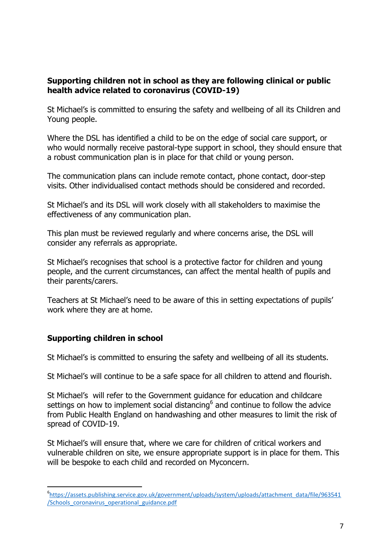#### <span id="page-6-0"></span>**Supporting children not in school as they are following clinical or public health advice related to coronavirus (COVID-19)**

St Michael's is committed to ensuring the safety and wellbeing of all its Children and Young people.

Where the DSL has identified a child to be on the edge of social care support, or who would normally receive pastoral-type support in school, they should ensure that a robust communication plan is in place for that child or young person.

The communication plans can include remote contact, phone contact, door-step visits. Other individualised contact methods should be considered and recorded.

St Michael's and its DSL will work closely with all stakeholders to maximise the effectiveness of any communication plan.

This plan must be reviewed regularly and where concerns arise, the DSL will consider any referrals as appropriate.

St Michael's recognises that school is a protective factor for children and young people, and the current circumstances, can affect the mental health of pupils and their parents/carers.

Teachers at St Michael's need to be aware of this in setting expectations of pupils' work where they are at home.

#### <span id="page-6-1"></span>**Supporting children in school**

 $\overline{a}$ 

St Michael's is committed to ensuring the safety and wellbeing of all its students.

St Michael's will continue to be a safe space for all children to attend and flourish.

St Michael's will refer to the Government guidance for education and childcare settings on how to implement social distancing<sup>6</sup> and continue to follow the advice from Public Health England on handwashing and other measures to limit the risk of spread of COVID-19.

St Michael's will ensure that, where we care for children of critical workers and vulnerable children on site, we ensure appropriate support is in place for them. This will be bespoke to each child and recorded on Myconcern.

<sup>6</sup> [https://assets.publishing.service.gov.uk/government/uploads/system/uploads/attachment\\_data/file/963541](https://assets.publishing.service.gov.uk/government/uploads/system/uploads/attachment_data/file/963541/Schools_coronavirus_operational_guidance.pdf) [/Schools\\_coronavirus\\_operational\\_guidance.pdf](https://assets.publishing.service.gov.uk/government/uploads/system/uploads/attachment_data/file/963541/Schools_coronavirus_operational_guidance.pdf)